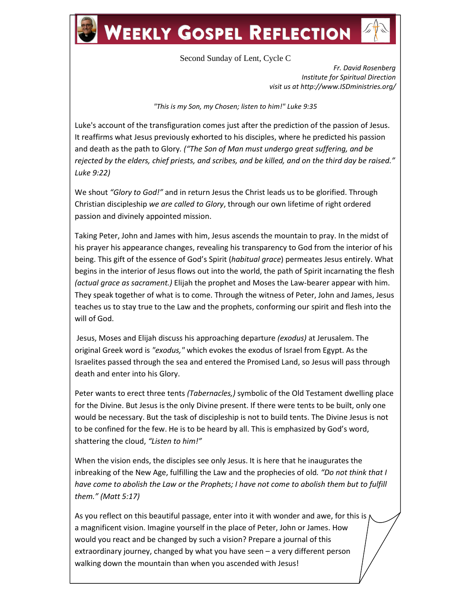## **WEEKLY GOSPEL REFLECTION**

## Second Sunday of Lent, Cycle C

*Fr. David Rosenberg Institute for Spiritual Direction visit us at http://www.ISDministries.org/*

*"This is my Son, my Chosen; listen to him!" Luke 9:35*

Luke's account of the transfiguration comes just after the prediction of the passion of Jesus. It reaffirms what Jesus previously exhorted to his disciples, where he predicted his passion and death as the path to Glory*. ("The Son of Man must undergo great suffering, and be rejected by the elders, chief priests, and scribes, and be killed, and on the third day be raised." Luke 9:22)*

We shout *"Glory to God!"* and in return Jesus the Christ leads us to be glorified. Through Christian discipleship *we are called to Glory*, through our own lifetime of right ordered passion and divinely appointed mission.

Taking Peter, John and James with him, Jesus ascends the mountain to pray. In the midst of his prayer his appearance changes, revealing his transparency to God from the interior of his being. This gift of the essence of God's Spirit (*habitual grace*) permeates Jesus entirely. What begins in the interior of Jesus flows out into the world, the path of Spirit incarnating the flesh *(actual grace as sacrament.)* Elijah the prophet and Moses the Law-bearer appear with him. They speak together of what is to come. Through the witness of Peter, John and James, Jesus teaches us to stay true to the Law and the prophets, conforming our spirit and flesh into the will of God.

Jesus, Moses and Elijah discuss his approaching departure *(exodus)* at Jerusalem. The original Greek word is *"exodus,"* which evokes the exodus of Israel from Egypt. As the Israelites passed through the sea and entered the Promised Land, so Jesus will pass through death and enter into his Glory.

Peter wants to erect three tents *(Tabernacles,)* symbolic of the Old Testament dwelling place for the Divine. But Jesus is the only Divine present. If there were tents to be built, only one would be necessary. But the task of discipleship is not to build tents. The Divine Jesus is not to be confined for the few. He is to be heard by all. This is emphasized by God's word, shattering the cloud, *"Listen to him!"*

When the vision ends, the disciples see only Jesus. It is here that he inaugurates the inbreaking of the New Age, fulfilling the Law and the prophecies of old*. "Do not think that I have come to abolish the Law or the Prophets; I have not come to abolish them but to fulfill them." (Matt 5:17)*

As you reflect on this beautiful passage, enter into it with wonder and awe, for this is  $\mu$ a magnificent vision. Imagine yourself in the place of Peter, John or James. How would you react and be changed by such a vision? Prepare a journal of this extraordinary journey, changed by what you have seen – a very different person walking down the mountain than when you ascended with Jesus!